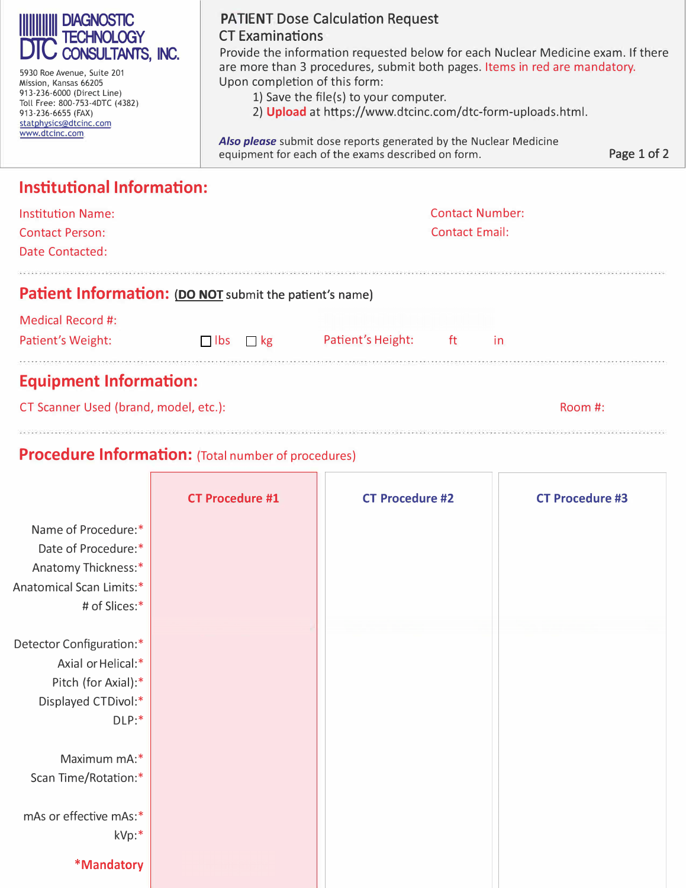| <b>IIIIIIIIIIIII DIAGNOSTIC<br/>DTC consultants, INC.</b> |  |
|-----------------------------------------------------------|--|
|                                                           |  |

 $\mathbb{I}$ 

5930 Roe Avenue, Suite 201 Mission, Kansas 66205 913-236-6000 (Direct Line) Toll Free: 800-753-4DTC (4382) 913-236-6655 (FAX) [statphysics@dtcinc.com](MAILTO:STATPHYSICS@DTCINC.COM) <www.dtcinc.com>

#### **PATIENT Dose Calculation Request CT Examinations**

Provide the information requested below for each Nuclear Medicine exam. If there are more than 3 procedures, submit both pages. Items in red are mandatory. Upon completion of this form:

- 1) Save the file(s) to your computer.
- 2) **[Upload](https://www.dtcinc.com/dtc-form-uploads.html)** at [https://www.dtcinc.com/dtc-form-uploads.html.](https://www.dtcinc.com/dtc-form-uploads.html)

*Also please* submit dose reports generated by the Nuclear Medicine equipment for each of the exams described on form. Page 1 of 2

## **Institutional Information:**

| Institution Name:<br><b>Contact Person:</b><br>Date Contacted:         |            |           |                   | <b>Contact Number:</b><br><b>Contact Email:</b> |           |         |
|------------------------------------------------------------------------|------------|-----------|-------------------|-------------------------------------------------|-----------|---------|
| <b>Patient Information: (DO NOT</b> submit the patient's name)         |            |           |                   |                                                 |           |         |
| Medical Record #:<br>Patient's Weight:                                 | $\Box$ lbs | $\Box$ kg | Patient's Height: | ft.                                             | <i>in</i> |         |
| <b>Equipment Information:</b><br>CT Scanner Used (brand, model, etc.): |            |           |                   |                                                 |           | Room #: |

### **Procedure Information:** (Total number of procedures)

|                          | <b>CT Procedure #1</b> | <b>CT Procedure #2</b> | <b>CT Procedure #3</b> |
|--------------------------|------------------------|------------------------|------------------------|
| Name of Procedure:*      |                        |                        |                        |
| Date of Procedure:*      |                        |                        |                        |
| Anatomy Thickness:*      |                        |                        |                        |
| Anatomical Scan Limits:* |                        |                        |                        |
| # of Slices:*            |                        |                        |                        |
|                          |                        |                        |                        |
| Detector Configuration:* |                        |                        |                        |
| Axial or Helical:*       |                        |                        |                        |
| Pitch (for Axial):*      |                        |                        |                        |
| Displayed CTDivol:*      |                        |                        |                        |
| DLP:                     |                        |                        |                        |
|                          |                        |                        |                        |
| Maximum mA:*             |                        |                        |                        |
| Scan Time/Rotation:*     |                        |                        |                        |
|                          |                        |                        |                        |
| mAs or effective mAs:*   |                        |                        |                        |
| kVp:*                    |                        |                        |                        |
| *Mandatory               |                        |                        |                        |